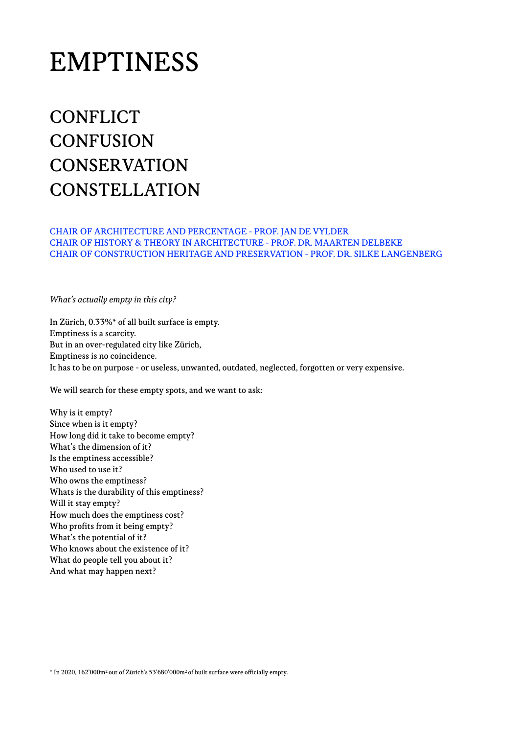# EMPTINESS

# **CONFLICT CONFUSION CONSERVATION CONSTELLATION**

CHAIR OF ARCHITECTURE AND PERCENTAGE - PROF. JAN DE VYLDER CHAIR OF HISTORY & THEORY IN ARCHITECTURE - PROF. DR. MAARTEN DELBEKE CHAIR OF CONSTRUCTION HERITAGE AND PRESERVATION - PROF. DR. SILKE LANGENBERG

*What's actually empty in this city?*

In Zürich, 0.33%\* of all built surface is empty. Emptiness is a scarcity. But in an over-regulated city like Zürich, Emptiness is no coincidence. It has to be on purpose - or useless, unwanted, outdated, neglected, forgotten or very expensive.

We will search for these empty spots, and we want to ask:

Why is it empty? Since when is it empty? How long did it take to become empty? What's the dimension of it? Is the emptiness accessible? Who used to use it? Who owns the emptiness? Whats is the durability of this emptiness? Will it stay empty? How much does the emptiness cost? Who profits from it being empty? What's the potential of it? Who knows about the existence of it? What do people tell you about it? And what may happen next?